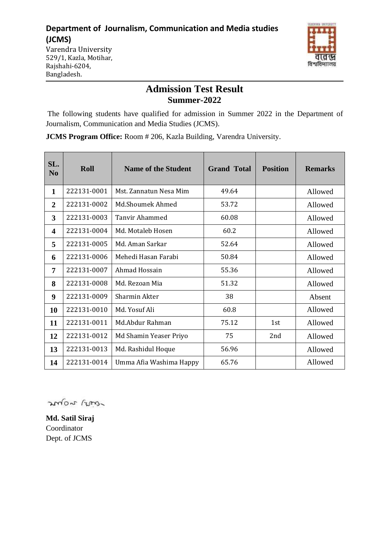### **Department of Journalism, Communication and Media studies (JCMS)**



Varendra University 529/1, Kazla, Motihar, Rajshahi-6204, Bangladesh.

# **Admission Test Result Summer-2022**

The following students have qualified for admission in Summer 2022 in the Department of Journalism, Communication and Media Studies (JCMS).

**JCMS Program Office:** Room # 206, Kazla Building, Varendra University.

| SL.<br>N <sub>0</sub>   | Roll        | <b>Name of the Student</b> | <b>Grand Total</b> | <b>Position</b> |         |
|-------------------------|-------------|----------------------------|--------------------|-----------------|---------|
| $\mathbf{1}$            | 222131-0001 | Mst. Zannatun Nesa Mim     | 49.64              |                 | Allowed |
| $\overline{2}$          | 222131-0002 | Md.Shoumek Ahmed           | 53.72              |                 | Allowed |
| 3                       | 222131-0003 | <b>Tanvir Ahammed</b>      | 60.08              |                 | Allowed |
| $\overline{\mathbf{4}}$ | 222131-0004 | Md. Motaleb Hosen          | 60.2               |                 | Allowed |
| 5                       | 222131-0005 | Md. Aman Sarkar            | 52.64              |                 | Allowed |
| 6                       | 222131-0006 | Mehedi Hasan Farabi        | 50.84              |                 | Allowed |
| 7                       | 222131-0007 | Ahmad Hossain              | 55.36              |                 | Allowed |
| 8                       | 222131-0008 | Md. Rezoan Mia             | 51.32              |                 | Allowed |
| 9                       | 222131-0009 | Sharmin Akter              | 38                 |                 | Absent  |
| 10                      | 222131-0010 | Md. Yosuf Ali              | 60.8               |                 | Allowed |
| 11                      | 222131-0011 | Md.Abdur Rahman            | 75.12              | 1st             | Allowed |
| 12                      | 222131-0012 | Md Shamin Yeaser Priyo     | 75                 | 2nd             | Allowed |
| 13                      | 222131-0013 | Md. Rashidul Hoque         | 56.96              |                 | Allowed |
| 14                      | 222131-0014 | Umma Afia Washima Happy    | 65.76              |                 | Allowed |

mor ros

**Md. Satil Siraj** Coordinator Dept. of JCMS